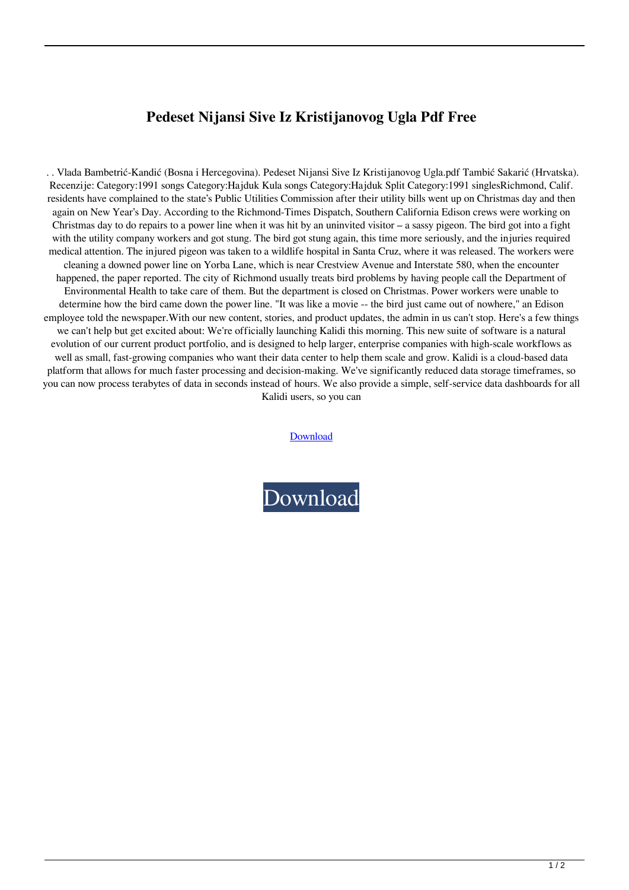## **Pedeset Nijansi Sive Iz Kristijanovog Ugla Pdf Free**

 . . Vlada Bambetrić-Kandić (Bosna i Hercegovina). Pedeset Nijansi Sive Iz Kristijanovog Ugla.pdf Tambić Sakarić (Hrvatska). Recenzije: Category:1991 songs Category:Hajduk Kula songs Category:Hajduk Split Category:1991 singlesRichmond, Calif. residents have complained to the state's Public Utilities Commission after their utility bills went up on Christmas day and then again on New Year's Day. According to the Richmond-Times Dispatch, Southern California Edison crews were working on Christmas day to do repairs to a power line when it was hit by an uninvited visitor – a sassy pigeon. The bird got into a fight with the utility company workers and got stung. The bird got stung again, this time more seriously, and the injuries required medical attention. The injured pigeon was taken to a wildlife hospital in Santa Cruz, where it was released. The workers were cleaning a downed power line on Yorba Lane, which is near Crestview Avenue and Interstate 580, when the encounter happened, the paper reported. The city of Richmond usually treats bird problems by having people call the Department of Environmental Health to take care of them. But the department is closed on Christmas. Power workers were unable to determine how the bird came down the power line. "It was like a movie -- the bird just came out of nowhere," an Edison employee told the newspaper.With our new content, stories, and product updates, the admin in us can't stop. Here's a few things we can't help but get excited about: We're officially launching Kalidi this morning. This new suite of software is a natural evolution of our current product portfolio, and is designed to help larger, enterprise companies with high-scale workflows as well as small, fast-growing companies who want their data center to help them scale and grow. Kalidi is a cloud-based data platform that allows for much faster processing and decision-making. We've significantly reduced data storage timeframes, so you can now process terabytes of data in seconds instead of hours. We also provide a simple, self-service data dashboards for all Kalidi users, so you can

[Download](http://evacdir.com/?UGVkZXNldCBOaWphbnNpIFNpdmUgSXogS3Jpc3RpamFub3ZvZyBVZ2xhIFBkZiBGcmVlUGV.hairsprays/yaking/crispers/lisonbee/ZG93bmxvYWR8bnQ2TjJnemZId3hOalV5TkRZek1EVXdmSHd5TlRjMGZId29UU2tnY21WaFpDMWliRzluSUZ0R1lYTjBJRWRGVGww)